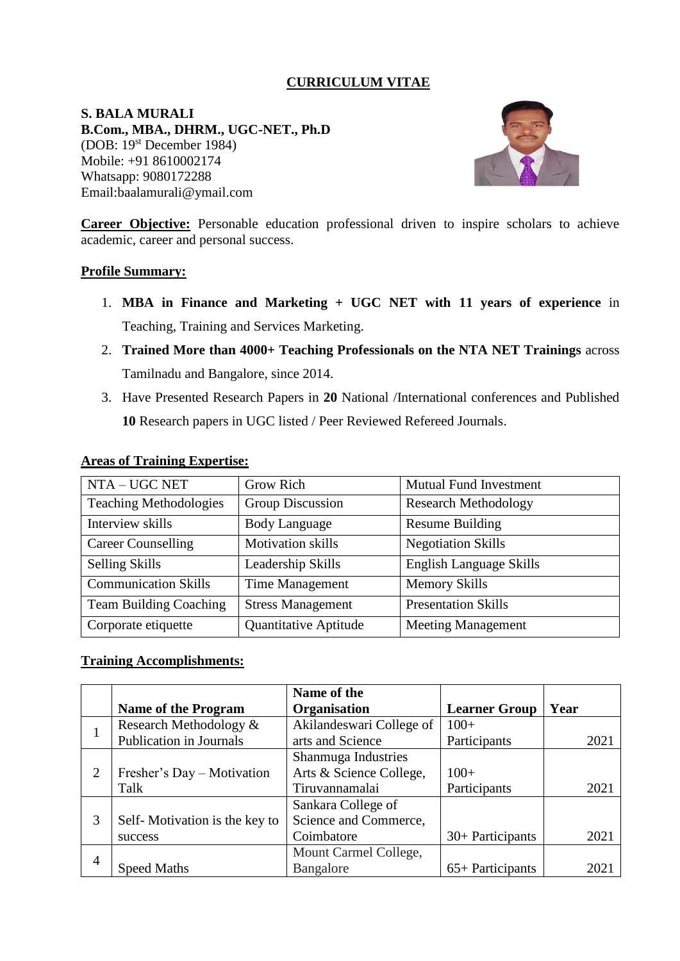## **CURRICULUM VITAE**

**S. BALA MURALI B.Com., MBA., DHRM., UGC-NET., Ph.D**  (DOB: 19st December 1984) Mobile: +91 8610002174 Whatsapp: 9080172288 Email:baalamurali@ymail.com



**Career Objective:** Personable education professional driven to inspire scholars to achieve academic, career and personal success.

### **Profile Summary:**

- 1. **MBA in Finance and Marketing + UGC NET with 11 years of experience** in Teaching, Training and Services Marketing.
- 2. **Trained More than 4000+ Teaching Professionals on the NTA NET Trainings** across Tamilnadu and Bangalore, since 2014.
- 3. Have Presented Research Papers in **20** National /International conferences and Published **10** Research papers in UGC listed / Peer Reviewed Refereed Journals.

| NTA – UGC NET                 | Grow Rich                | <b>Mutual Fund Investment</b> |
|-------------------------------|--------------------------|-------------------------------|
| <b>Teaching Methodologies</b> | <b>Group Discussion</b>  | <b>Research Methodology</b>   |
| Interview skills              | <b>Body Language</b>     | <b>Resume Building</b>        |
| <b>Career Counselling</b>     | <b>Motivation skills</b> | <b>Negotiation Skills</b>     |
| <b>Selling Skills</b>         | Leadership Skills        | English Language Skills       |
| <b>Communication Skills</b>   | <b>Time Management</b>   | <b>Memory Skills</b>          |
| <b>Team Building Coaching</b> | <b>Stress Management</b> | <b>Presentation Skills</b>    |
| Corporate etiquette           | Quantitative Aptitude    | <b>Meeting Management</b>     |

### **Areas of Training Expertise:**

#### **Training Accomplishments:**

|                |                               | Name of the              |                      |      |
|----------------|-------------------------------|--------------------------|----------------------|------|
|                | <b>Name of the Program</b>    | Organisation             | <b>Learner Group</b> | Year |
|                | Research Methodology &        | Akilandeswari College of | $100+$               |      |
|                | Publication in Journals       | arts and Science         | Participants         | 2021 |
|                |                               | Shanmuga Industries      |                      |      |
| $\overline{2}$ | Fresher's Day – Motivation    | Arts & Science College,  | $100+$               |      |
|                | Talk                          | Tiruvannamalai           | Participants         | 2021 |
|                |                               | Sankara College of       |                      |      |
| 3              | Self-Motivation is the key to | Science and Commerce,    |                      |      |
|                | success                       | Coimbatore               | 30+ Participants     | 2021 |
| $\overline{4}$ |                               | Mount Carmel College,    |                      |      |
|                | <b>Speed Maths</b>            | Bangalore                | $65+$ Participants   | 2021 |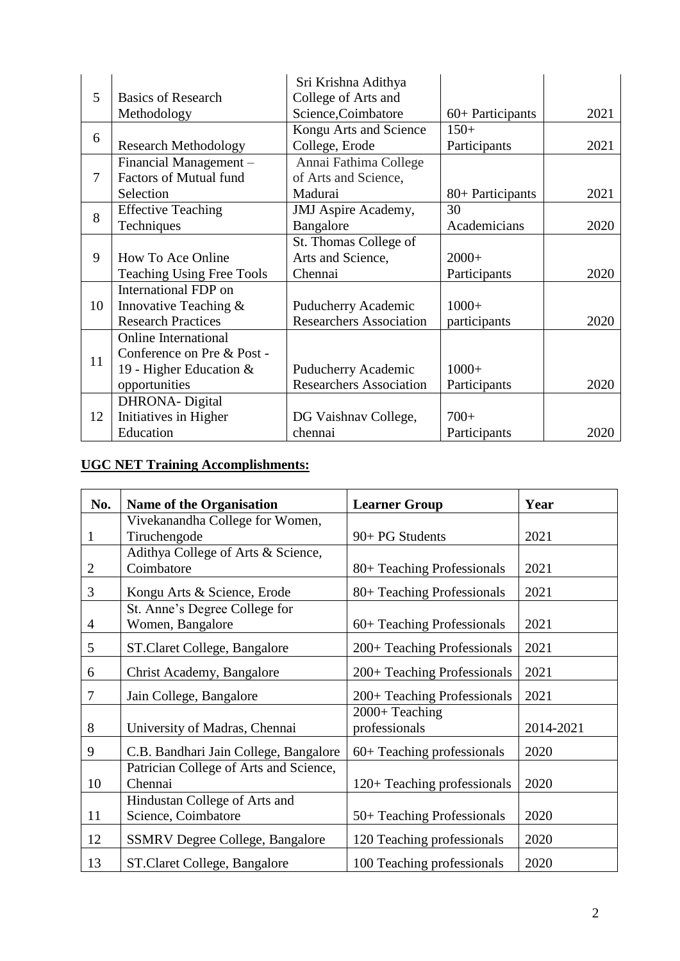|    |                                  | Sri Krishna Adithya            |                  |      |
|----|----------------------------------|--------------------------------|------------------|------|
| 5  | <b>Basics of Research</b>        | College of Arts and            |                  |      |
|    | Methodology                      | Science, Coimbatore            | 60+ Participants | 2021 |
| 6  |                                  | Kongu Arts and Science         | $150+$           |      |
|    | <b>Research Methodology</b>      | College, Erode                 | Participants     | 2021 |
|    | Financial Management -           | Annai Fathima College          |                  |      |
| 7  | <b>Factors of Mutual fund</b>    | of Arts and Science,           |                  |      |
|    | Selection                        | Madurai                        | 80+ Participants | 2021 |
| 8  | <b>Effective Teaching</b>        | <b>JMJ</b> Aspire Academy,     | 30               |      |
|    | Techniques                       | Bangalore                      | Academicians     | 2020 |
|    |                                  | St. Thomas College of          |                  |      |
| 9  | How To Ace Online                | Arts and Science,              | $2000+$          |      |
|    | <b>Teaching Using Free Tools</b> | Chennai                        | Participants     | 2020 |
|    | International FDP on             |                                |                  |      |
| 10 | Innovative Teaching &            | Puducherry Academic            | $1000+$          |      |
|    | <b>Research Practices</b>        | <b>Researchers Association</b> | participants     | 2020 |
|    | <b>Online International</b>      |                                |                  |      |
| 11 | Conference on Pre & Post -       |                                |                  |      |
|    | 19 - Higher Education &          | Puducherry Academic            | $1000+$          |      |
|    | opportunities                    | <b>Researchers Association</b> | Participants     | 2020 |
|    | DHRONA-Digital                   |                                |                  |      |
| 12 | Initiatives in Higher            | DG Vaishnav College,           | $700+$           |      |
|    | Education                        | chennai                        | Participants     | 2020 |

# **UGC NET Training Accomplishments:**

| No.            | <b>Name of the Organisation</b>        | <b>Learner Group</b>             | Year      |
|----------------|----------------------------------------|----------------------------------|-----------|
|                | Vivekanandha College for Women,        |                                  |           |
| 1              | Tiruchengode                           | 90+ PG Students                  | 2021      |
|                | Adithya College of Arts & Science,     |                                  |           |
| $\mathbf{2}$   | Coimbatore                             | 80+ Teaching Professionals       | 2021      |
| 3              | Kongu Arts & Science, Erode            | 80+ Teaching Professionals       | 2021      |
|                | St. Anne's Degree College for          |                                  |           |
| $\overline{4}$ | Women, Bangalore                       | $60+$ Teaching Professionals     | 2021      |
| 5              | ST.Claret College, Bangalore           | 200+ Teaching Professionals      | 2021      |
| 6              | Christ Academy, Bangalore              | 200+ Teaching Professionals      | 2021      |
| $\overline{7}$ | Jain College, Bangalore                | 200+ Teaching Professionals      | 2021      |
| 8              | University of Madras, Chennai          | $2000+Teaching$<br>professionals | 2014-2021 |
| 9              | C.B. Bandhari Jain College, Bangalore  | $60+$ Teaching professionals     | 2020      |
|                | Patrician College of Arts and Science, |                                  |           |
| 10             | Chennai                                | 120+ Teaching professionals      | 2020      |
|                | Hindustan College of Arts and          |                                  |           |
| 11             | Science, Coimbatore                    | 50+ Teaching Professionals       | 2020      |
| 12             | <b>SSMRV Degree College, Bangalore</b> | 120 Teaching professionals       | 2020      |
| 13             | ST.Claret College, Bangalore           | 100 Teaching professionals       | 2020      |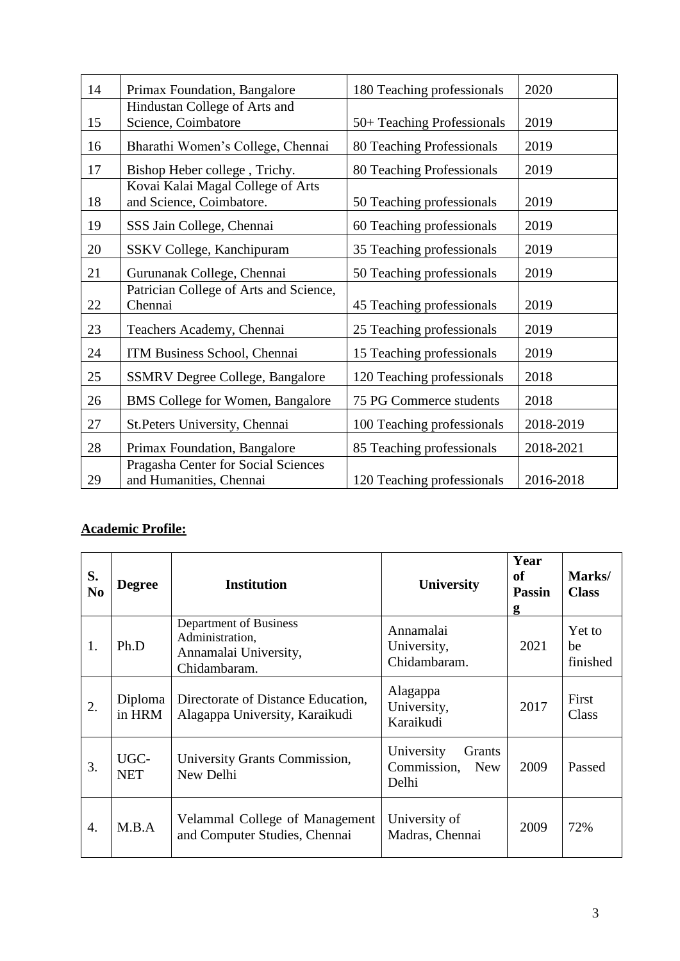| 14 | Primax Foundation, Bangalore                                   | 180 Teaching professionals | 2020      |
|----|----------------------------------------------------------------|----------------------------|-----------|
|    | Hindustan College of Arts and                                  |                            |           |
| 15 | Science, Coimbatore                                            | 50+ Teaching Professionals | 2019      |
| 16 | Bharathi Women's College, Chennai                              | 80 Teaching Professionals  | 2019      |
| 17 | Bishop Heber college, Trichy.                                  | 80 Teaching Professionals  | 2019      |
| 18 | Kovai Kalai Magal College of Arts<br>and Science, Coimbatore.  | 50 Teaching professionals  | 2019      |
| 19 | SSS Jain College, Chennai                                      | 60 Teaching professionals  | 2019      |
| 20 | SSKV College, Kanchipuram                                      | 35 Teaching professionals  | 2019      |
| 21 | Gurunanak College, Chennai                                     | 50 Teaching professionals  | 2019      |
| 22 | Patrician College of Arts and Science,<br>Chennai              | 45 Teaching professionals  | 2019      |
| 23 | Teachers Academy, Chennai                                      | 25 Teaching professionals  | 2019      |
| 24 | ITM Business School, Chennai                                   | 15 Teaching professionals  | 2019      |
| 25 | <b>SSMRV Degree College, Bangalore</b>                         | 120 Teaching professionals | 2018      |
| 26 | <b>BMS</b> College for Women, Bangalore                        | 75 PG Commerce students    | 2018      |
| 27 | St.Peters University, Chennai                                  | 100 Teaching professionals | 2018-2019 |
| 28 | Primax Foundation, Bangalore                                   | 85 Teaching professionals  | 2018-2021 |
| 29 | Pragasha Center for Social Sciences<br>and Humanities, Chennai | 120 Teaching professionals | 2016-2018 |

# **Academic Profile:**

| S.<br>N <sub>0</sub> | <b>Degree</b>      | <b>Institution</b>                                                                 | University                                                 | Year<br>of<br><b>Passin</b><br>g | Marks/<br><b>Class</b>   |
|----------------------|--------------------|------------------------------------------------------------------------------------|------------------------------------------------------------|----------------------------------|--------------------------|
| 1.                   | Ph.D               | Department of Business<br>Administration,<br>Annamalai University,<br>Chidambaram. | Annamalai<br>University,<br>Chidambaram.                   | 2021                             | Yet to<br>be<br>finished |
| 2.                   | Diploma<br>in HRM  | Directorate of Distance Education,<br>Alagappa University, Karaikudi               | Alagappa<br>University,<br>Karaikudi                       | 2017                             | First<br>Class           |
| 3.                   | UGC-<br><b>NET</b> | University Grants Commission,<br>New Delhi                                         | University<br>Grants<br>Commission,<br><b>New</b><br>Delhi | 2009                             | Passed                   |
| $\overline{4}$ .     | M.B.A              | Velammal College of Management<br>and Computer Studies, Chennai                    | University of<br>Madras, Chennai                           | 2009                             | 72%                      |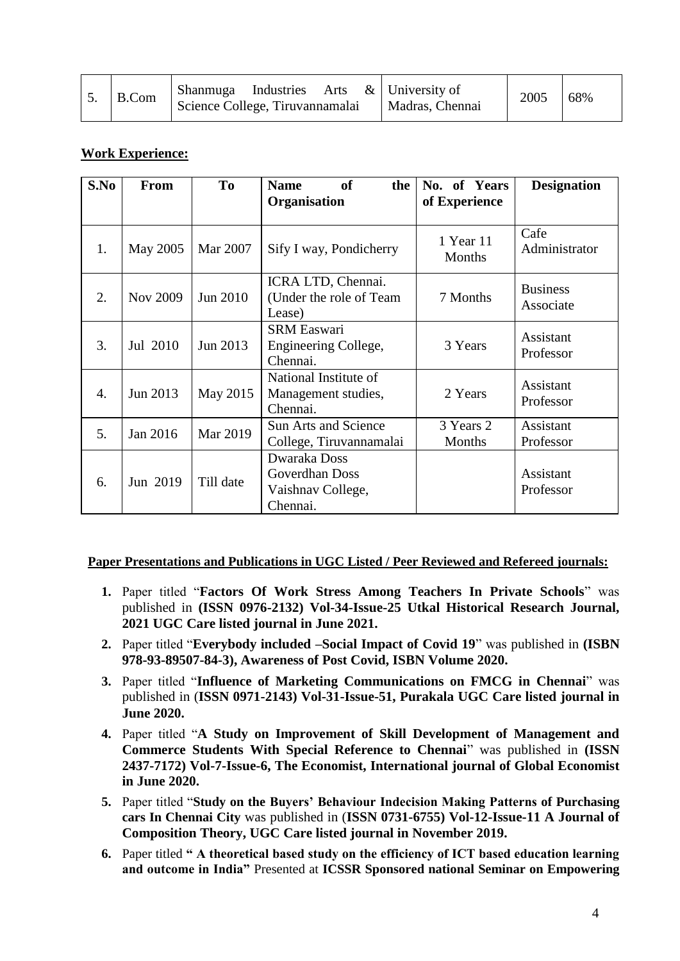| Shanmuga Industries Arts $\&$ University of<br>B.Com<br>2005<br>Science College, Tiruvannamalai<br>Madras, Chennai |  | 68% |
|--------------------------------------------------------------------------------------------------------------------|--|-----|
|--------------------------------------------------------------------------------------------------------------------|--|-----|

## **Work Experience:**

| S.No | From     | T <sub>0</sub> | of<br><b>Name</b><br>the<br>Organisation                        | No. of Years<br>of Experience | <b>Designation</b>           |
|------|----------|----------------|-----------------------------------------------------------------|-------------------------------|------------------------------|
| 1.   | May 2005 | Mar 2007       | Sify I way, Pondicherry                                         | 1 Year 11<br>Months           | Cafe<br>Administrator        |
| 2.   | Nov 2009 | Jun 2010       | ICRA LTD, Chennai.<br>(Under the role of Team<br>Lease)         | 7 Months                      | <b>Business</b><br>Associate |
| 3.   | Jul 2010 | Jun 2013       | <b>SRM Easwari</b><br>Engineering College,<br>Chennai.          | 3 Years                       | Assistant<br>Professor       |
| 4.   | Jun 2013 | May 2015       | National Institute of<br>Management studies,<br>Chennai.        | 2 Years                       | Assistant<br>Professor       |
| 5.   | Jan 2016 | Mar 2019       | <b>Sun Arts and Science</b><br>College, Tiruvannamalai          | 3 Years 2<br>Months           | Assistant<br>Professor       |
| 6.   | Jun 2019 | Till date      | Dwaraka Doss<br>Goverdhan Doss<br>Vaishnav College,<br>Chennai. |                               | Assistant<br>Professor       |

### **Paper Presentations and Publications in UGC Listed / Peer Reviewed and Refereed journals:**

- **1.** Paper titled "**Factors Of Work Stress Among Teachers In Private Schools**" was published in **(ISSN 0976-2132) Vol-34-Issue-25 Utkal Historical Research Journal, 2021 UGC Care listed journal in June 2021.**
- **2.** Paper titled "**Everybody included –Social Impact of Covid 19**" was published in **(ISBN 978-93-89507-84-3), Awareness of Post Covid, ISBN Volume 2020.**
- **3.** Paper titled "**Influence of Marketing Communications on FMCG in Chennai**" was published in (**ISSN 0971-2143) Vol-31-Issue-51, Purakala UGC Care listed journal in June 2020.**
- **4.** Paper titled "**A Study on Improvement of Skill Development of Management and Commerce Students With Special Reference to Chennai**" was published in **(ISSN 2437-7172) Vol-7-Issue-6, The Economist, International journal of Global Economist in June 2020.**
- **5.** Paper titled "**Study on the Buyers' Behaviour Indecision Making Patterns of Purchasing cars In Chennai City** was published in (**ISSN 0731-6755) Vol-12-Issue-11 A Journal of Composition Theory, UGC Care listed journal in November 2019.**
- **6.** Paper titled **" A theoretical based study on the efficiency of ICT based education learning and outcome in India"** Presented at **ICSSR Sponsored national Seminar on Empowering**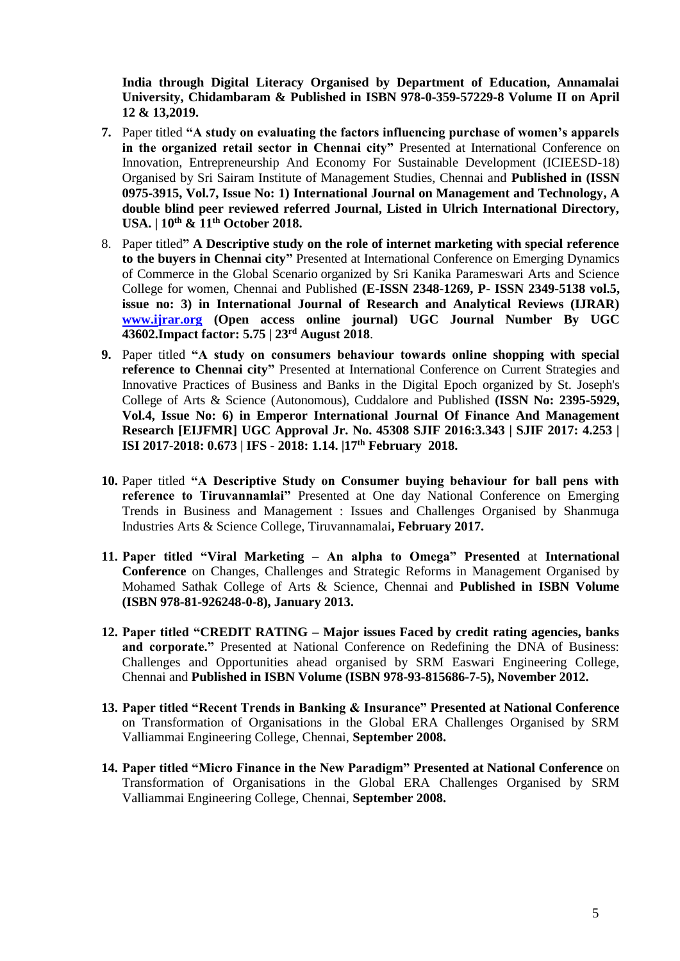**India through Digital Literacy Organised by Department of Education, Annamalai University, Chidambaram & Published in ISBN 978-0-359-57229-8 Volume II on April 12 & 13,2019.**

- **7.** Paper titled **"A study on evaluating the factors influencing purchase of women's apparels in the organized retail sector in Chennai city"** Presented at International Conference on Innovation, Entrepreneurship And Economy For Sustainable Development (ICIEESD-18) Organised by Sri Sairam Institute of Management Studies, Chennai and **Published in (ISSN 0975-3915, Vol.7, Issue No: 1) International Journal on Management and Technology, A double blind peer reviewed referred Journal, Listed in Ulrich International Directory, USA. | 10th & 11th October 2018.**
- 8. Paper titled**" A Descriptive study on the role of internet marketing with special reference to the buyers in Chennai city"** Presented at International Conference on Emerging Dynamics of Commerce in the Global Scenario organized by Sri Kanika Parameswari Arts and Science College for women, Chennai and Published **(E-ISSN 2348-1269, P- ISSN 2349-5138 vol.5, issue no: 3) in International Journal of Research and Analytical Reviews (IJRAR) [www.ijrar.org](http://www.ijrar.org/) (Open access online journal) UGC Journal Number By UGC 43602.Impact factor: 5.75 | 23rd August 2018**.
- **9.** Paper titled **"A study on consumers behaviour towards online shopping with special reference to Chennai city"** Presented at International Conference on Current Strategies and Innovative Practices of Business and Banks in the Digital Epoch organized by St. Joseph's College of Arts & Science (Autonomous), Cuddalore and Published **(ISSN No: 2395-5929, Vol.4, Issue No: 6) in Emperor International Journal Of Finance And Management Research [EIJFMR] UGC Approval Jr. No. 45308 SJIF 2016:3.343 | SJIF 2017: 4.253 | ISI 2017-2018: 0.673 | IFS - 2018: 1.14. |17th February 2018.**
- **10.** Paper titled **"A Descriptive Study on Consumer buying behaviour for ball pens with reference to Tiruvannamlai"** Presented at One day National Conference on Emerging Trends in Business and Management : Issues and Challenges Organised by Shanmuga Industries Arts & Science College, Tiruvannamalai**, February 2017.**
- **11. Paper titled "Viral Marketing – An alpha to Omega" Presented** at **International Conference** on Changes, Challenges and Strategic Reforms in Management Organised by Mohamed Sathak College of Arts & Science, Chennai and **Published in ISBN Volume (ISBN 978-81-926248-0-8), January 2013.**
- **12. Paper titled "CREDIT RATING – Major issues Faced by credit rating agencies, banks and corporate."** Presented at National Conference on Redefining the DNA of Business: Challenges and Opportunities ahead organised by SRM Easwari Engineering College, Chennai and **Published in ISBN Volume (ISBN 978-93-815686-7-5), November 2012.**
- **13. Paper titled "Recent Trends in Banking & Insurance" Presented at National Conference** on Transformation of Organisations in the Global ERA Challenges Organised by SRM Valliammai Engineering College, Chennai, **September 2008.**
- **14. Paper titled "Micro Finance in the New Paradigm" Presented at National Conference** on Transformation of Organisations in the Global ERA Challenges Organised by SRM Valliammai Engineering College, Chennai, **September 2008.**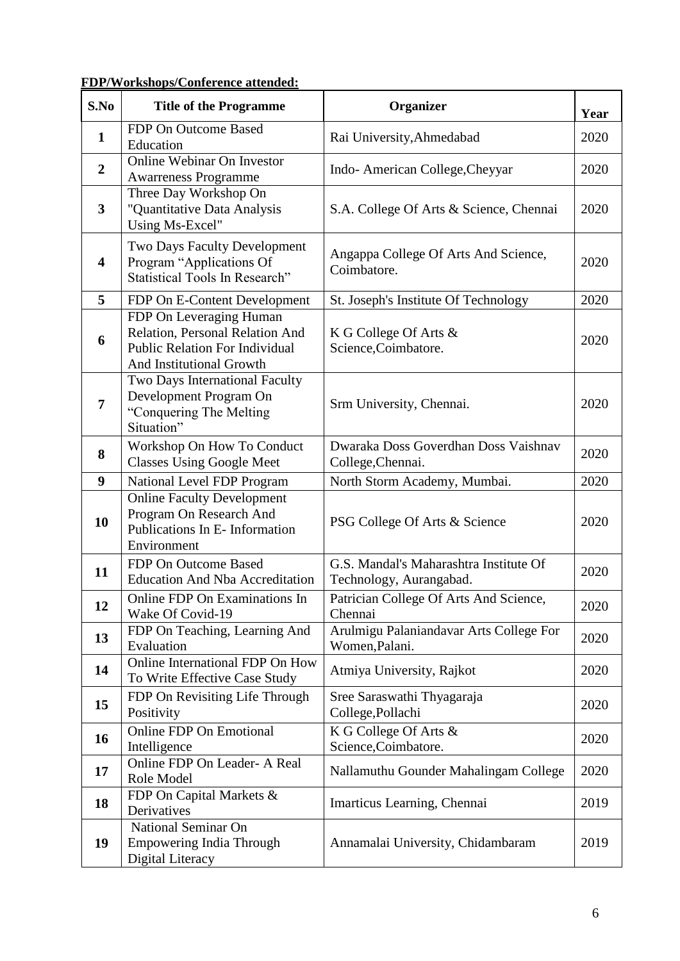| <b>FDP/Workshops/Conference attended:</b> |
|-------------------------------------------|
|-------------------------------------------|

| S.No                    | <b>Title of the Programme</b>                                                                                                   | Organizer                                                         | Year |
|-------------------------|---------------------------------------------------------------------------------------------------------------------------------|-------------------------------------------------------------------|------|
| $\mathbf{1}$            | FDP On Outcome Based<br>Education                                                                                               | Rai University, Ahmedabad                                         | 2020 |
| $\boldsymbol{2}$        | Online Webinar On Investor<br><b>Awarreness Programme</b>                                                                       | Indo-American College, Cheyyar                                    | 2020 |
| $\overline{\mathbf{3}}$ | Three Day Workshop On<br>"Quantitative Data Analysis<br>Using Ms-Excel"                                                         | S.A. College Of Arts & Science, Chennai                           | 2020 |
| $\overline{\mathbf{4}}$ | Two Days Faculty Development<br>Program "Applications Of<br><b>Statistical Tools In Research"</b>                               | Angappa College Of Arts And Science,<br>Coimbatore.               | 2020 |
| 5                       | FDP On E-Content Development                                                                                                    | St. Joseph's Institute Of Technology                              | 2020 |
| 6                       | FDP On Leveraging Human<br>Relation, Personal Relation And<br><b>Public Relation For Individual</b><br>And Institutional Growth | K G College Of Arts &<br>Science, Coimbatore.                     | 2020 |
| $\overline{7}$          | Two Days International Faculty<br>Development Program On<br>"Conquering The Melting<br>Situation"                               | Srm University, Chennai.                                          | 2020 |
| 8                       | Workshop On How To Conduct<br><b>Classes Using Google Meet</b>                                                                  | Dwaraka Doss Goverdhan Doss Vaishnav<br>College, Chennai.         | 2020 |
| 9                       | National Level FDP Program                                                                                                      | North Storm Academy, Mumbai.                                      | 2020 |
| 10                      | <b>Online Faculty Development</b><br>Program On Research And<br>Publications In E- Information<br>Environment                   | PSG College Of Arts & Science                                     | 2020 |
| 11                      | FDP On Outcome Based<br><b>Education And Nba Accreditation</b>                                                                  | G.S. Mandal's Maharashtra Institute Of<br>Technology, Aurangabad. | 2020 |
| 12                      | Online FDP On Examinations In<br>Wake Of Covid-19                                                                               | Patrician College Of Arts And Science,<br>Chennai                 | 2020 |
| 13                      | FDP On Teaching, Learning And<br>Evaluation                                                                                     | Arulmigu Palaniandavar Arts College For<br>Women, Palani.         | 2020 |
| 14                      | Online International FDP On How<br>To Write Effective Case Study                                                                | Atmiya University, Rajkot                                         | 2020 |
| 15                      | FDP On Revisiting Life Through<br>Positivity                                                                                    | Sree Saraswathi Thyagaraja<br>College, Pollachi                   | 2020 |
| <b>16</b>               | <b>Online FDP On Emotional</b><br>Intelligence                                                                                  | K G College Of Arts &<br>Science, Coimbatore.                     | 2020 |
| 17                      | Online FDP On Leader- A Real<br>Role Model                                                                                      | Nallamuthu Gounder Mahalingam College                             | 2020 |
| 18                      | FDP On Capital Markets &<br>Derivatives                                                                                         | Imarticus Learning, Chennai                                       | 2019 |
| 19                      | National Seminar On<br><b>Empowering India Through</b><br>Digital Literacy                                                      | Annamalai University, Chidambaram                                 | 2019 |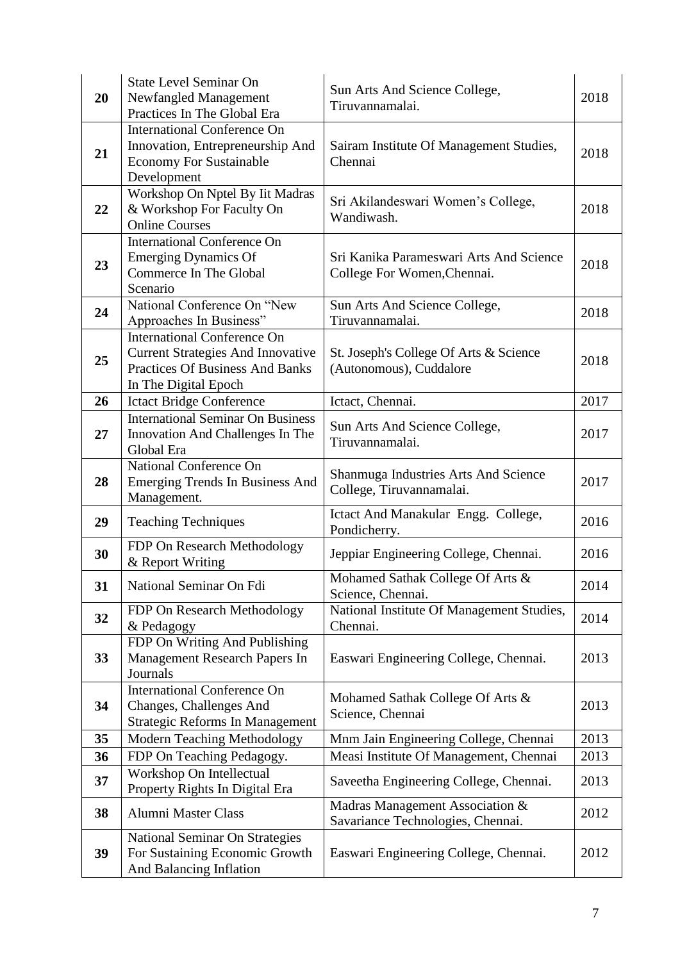| 20 | <b>State Level Seminar On</b><br>Newfangled Management<br>Practices In The Global Era                                                            | Sun Arts And Science College,<br>Tiruvannamalai.                       | 2018 |
|----|--------------------------------------------------------------------------------------------------------------------------------------------------|------------------------------------------------------------------------|------|
| 21 | <b>International Conference On</b><br>Innovation, Entrepreneurship And<br><b>Economy For Sustainable</b><br>Development                          | Sairam Institute Of Management Studies,<br>Chennai                     | 2018 |
| 22 | Workshop On Nptel By Iit Madras<br>& Workshop For Faculty On<br><b>Online Courses</b>                                                            | Sri Akilandeswari Women's College,<br>Wandiwash.                       | 2018 |
| 23 | <b>International Conference On</b><br><b>Emerging Dynamics Of</b><br>Commerce In The Global<br>Scenario                                          | Sri Kanika Parameswari Arts And Science<br>College For Women, Chennai. | 2018 |
| 24 | National Conference On "New<br>Approaches In Business"                                                                                           | Sun Arts And Science College,<br>Tiruvannamalai.                       | 2018 |
| 25 | <b>International Conference On</b><br><b>Current Strategies And Innovative</b><br><b>Practices Of Business And Banks</b><br>In The Digital Epoch | St. Joseph's College Of Arts & Science<br>(Autonomous), Cuddalore      | 2018 |
| 26 | <b>Ictact Bridge Conference</b>                                                                                                                  | Ictact, Chennai.                                                       | 2017 |
| 27 | <b>International Seminar On Business</b><br>Innovation And Challenges In The<br>Global Era                                                       | Sun Arts And Science College,<br>Tiruvannamalai.                       | 2017 |
| 28 | National Conference On<br><b>Emerging Trends In Business And</b><br>Management.                                                                  | Shanmuga Industries Arts And Science<br>College, Tiruvannamalai.       | 2017 |
| 29 | <b>Teaching Techniques</b>                                                                                                                       | Ictact And Manakular Engg. College,<br>Pondicherry.                    | 2016 |
| 30 | FDP On Research Methodology<br>& Report Writing                                                                                                  | Jeppiar Engineering College, Chennai.                                  | 2016 |
| 31 | National Seminar On Fdi                                                                                                                          | Mohamed Sathak College Of Arts &<br>Science, Chennai.                  | 2014 |
| 32 | FDP On Research Methodology<br>& Pedagogy                                                                                                        | National Institute Of Management Studies,<br>Chennai.                  | 2014 |
| 33 | FDP On Writing And Publishing<br>Management Research Papers In<br>Journals                                                                       | Easwari Engineering College, Chennai.                                  | 2013 |
| 34 | <b>International Conference On</b><br>Changes, Challenges And<br><b>Strategic Reforms In Management</b>                                          | Mohamed Sathak College Of Arts &<br>Science, Chennai                   | 2013 |
| 35 | Modern Teaching Methodology                                                                                                                      | Mnm Jain Engineering College, Chennai                                  | 2013 |
| 36 | FDP On Teaching Pedagogy.                                                                                                                        | Measi Institute Of Management, Chennai                                 | 2013 |
| 37 | Workshop On Intellectual<br>Property Rights In Digital Era                                                                                       | Saveetha Engineering College, Chennai.                                 | 2013 |
| 38 | <b>Alumni Master Class</b>                                                                                                                       | Madras Management Association &<br>Savariance Technologies, Chennai.   | 2012 |
| 39 | <b>National Seminar On Strategies</b><br>For Sustaining Economic Growth<br>And Balancing Inflation                                               | Easwari Engineering College, Chennai.                                  | 2012 |